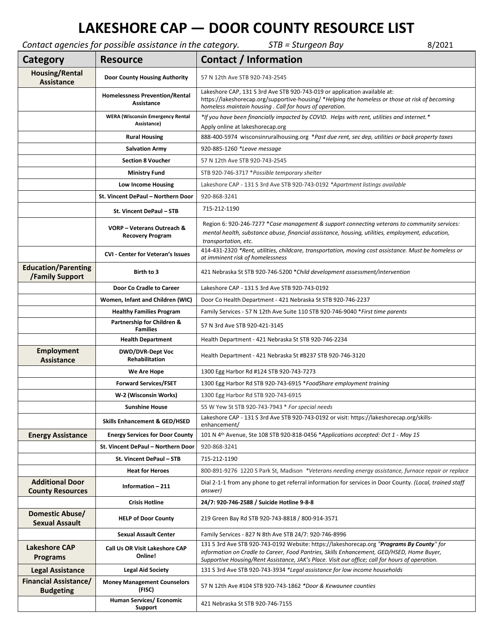## **LAKESHORE CAP — DOOR COUNTY RESOURCE LIST**

*Contact agencies for possible assistance in the category. STB = Sturgeon Bay* 8/2021

| Category                                             | <b>Resource</b>                                        | Contact / Information                                                                                                                                                                                                                                                                     |
|------------------------------------------------------|--------------------------------------------------------|-------------------------------------------------------------------------------------------------------------------------------------------------------------------------------------------------------------------------------------------------------------------------------------------|
| <b>Housing/Rental</b><br><b>Assistance</b>           | <b>Door County Housing Authority</b>                   | 57 N 12th Ave STB 920-743-2545                                                                                                                                                                                                                                                            |
|                                                      | <b>Homelessness Prevention/Rental</b><br>Assistance    | Lakeshore CAP, 131 S 3rd Ave STB 920-743-019 or application available at:<br>https://lakeshorecap.org/supportive-housing/ *Helping the homeless or those at risk of becoming<br>homeless maintain housing. Call for hours of operation.                                                   |
|                                                      | <b>WERA (Wisconsin Emergency Rental</b><br>Assistance) | *If you have been financially impacted by COVID. Helps with rent, utilities and internet.*<br>Apply online at lakeshorecap.org                                                                                                                                                            |
|                                                      | <b>Rural Housing</b>                                   | 888-400-5974 wisconsinruralhousing.org *Past due rent, sec dep, utilities or back property taxes                                                                                                                                                                                          |
|                                                      | <b>Salvation Army</b>                                  | 920-885-1260 *Leave message                                                                                                                                                                                                                                                               |
|                                                      | <b>Section 8 Voucher</b>                               | 57 N 12th Ave STB 920-743-2545                                                                                                                                                                                                                                                            |
|                                                      | <b>Ministry Fund</b>                                   | STB 920-746-3717 *Possible temporary shelter                                                                                                                                                                                                                                              |
|                                                      | Low Income Housing                                     | Lakeshore CAP - 131 S 3rd Ave STB 920-743-0192 *Apartment listings available                                                                                                                                                                                                              |
|                                                      | St. Vincent DePaul - Northern Door                     | 920-868-3241                                                                                                                                                                                                                                                                              |
|                                                      | St. Vincent DePaul - STB                               | 715-212-1190                                                                                                                                                                                                                                                                              |
|                                                      | VORP - Veterans Outreach &<br><b>Recovery Program</b>  | Region 6: 920-246-7277 *Case management & support connecting veterans to community services:<br>mental health, substance abuse, financial assistance, housing, utilities, employment, education,<br>transportation, etc.                                                                  |
|                                                      | <b>CVI</b> - Center for Veteran's Issues               | 414-431-2320 *Rent, utilities, childcare, transportation, moving cost assistance. Must be homeless or<br>at imminent risk of homelessness                                                                                                                                                 |
| <b>Education/Parenting</b><br><b>/Family Support</b> | Birth to 3                                             | 421 Nebraska St STB 920-746-5200 * Child development assessment/intervention                                                                                                                                                                                                              |
|                                                      | Door Co Cradle to Career                               | Lakeshore CAP - 131 S 3rd Ave STB 920-743-0192                                                                                                                                                                                                                                            |
|                                                      | Women, Infant and Children (WIC)                       | Door Co Health Department - 421 Nebraska St STB 920-746-2237                                                                                                                                                                                                                              |
|                                                      | <b>Healthy Families Program</b>                        | Family Services - 57 N 12th Ave Suite 110 STB 920-746-9040 * First time parents                                                                                                                                                                                                           |
|                                                      | Partnership for Children &<br><b>Families</b>          | 57 N 3rd Ave STB 920-421-3145                                                                                                                                                                                                                                                             |
|                                                      | <b>Health Department</b>                               | Health Department - 421 Nebraska St STB 920-746-2234                                                                                                                                                                                                                                      |
| <b>Employment</b><br><b>Assistance</b>               | <b>DWD/DVR-Dept Voc</b><br><b>Rehabilitation</b>       | Health Department - 421 Nebraska St #B237 STB 920-746-3120                                                                                                                                                                                                                                |
|                                                      | We Are Hope                                            | 1300 Egg Harbor Rd #124 STB 920-743-7273                                                                                                                                                                                                                                                  |
|                                                      | <b>Forward Services/FSET</b>                           | 1300 Egg Harbor Rd STB 920-743-6915 *FoodShare employment training                                                                                                                                                                                                                        |
|                                                      | W-2 (Wisconsin Works)                                  | 1300 Egg Harbor Rd STB 920-743-6915                                                                                                                                                                                                                                                       |
|                                                      | Sunshine House                                         | 55 W Yew St STB 920-743-7943 * For special needs                                                                                                                                                                                                                                          |
|                                                      | <b>Skills Enhancement &amp; GED/HSED</b>               | Lakeshore CAP - 131 S 3rd Ave STB 920-743-0192 or visit: https://lakeshorecap.org/skills-<br>enhancement/                                                                                                                                                                                 |
| <b>Energy Assistance</b>                             | <b>Energy Services for Door County</b>                 | 101 N 4 <sup>th</sup> Avenue, Ste 108 STB 920-818-0456 *Applications accepted: Oct 1 - May 15                                                                                                                                                                                             |
|                                                      | St. Vincent DePaul - Northern Door                     | 920-868-3241                                                                                                                                                                                                                                                                              |
|                                                      | St. Vincent DePaul - STB                               | 715-212-1190                                                                                                                                                                                                                                                                              |
|                                                      | <b>Heat for Heroes</b>                                 | 800-891-9276 1220 S Park St, Madison *Veterans needing energy assistance, furnace repair or replace                                                                                                                                                                                       |
| <b>Additional Door</b><br><b>County Resources</b>    | Information - 211                                      | Dial 2-1-1 from any phone to get referral information for services in Door County. (Local, trained staff<br>answer)                                                                                                                                                                       |
|                                                      | <b>Crisis Hotline</b>                                  | 24/7: 920-746-2588 / Suicide Hotline 9-8-8                                                                                                                                                                                                                                                |
| Domestic Abuse/<br><b>Sexual Assault</b>             | <b>HELP of Door County</b>                             | 219 Green Bay Rd STB 920-743-8818 / 800-914-3571                                                                                                                                                                                                                                          |
|                                                      | <b>Sexual Assault Center</b>                           | Family Services - 827 N 8th Ave STB 24/7: 920-746-8996                                                                                                                                                                                                                                    |
| <b>Lakeshore CAP</b><br><b>Programs</b>              | Call Us OR Visit Lakeshore CAP<br>Online!              | 131 S 3rd Ave STB 920-743-0192 Website: https://lakeshorecap.org "Programs By County" for<br>information on Cradle to Career, Food Pantries, Skills Enhancement, GED/HSED, Home Buyer,<br>Supportive Housing/Rent Assistance, JAK's Place. Visit our office; call for hours of operation. |
| <b>Legal Assistance</b>                              | <b>Legal Aid Society</b>                               | 131 S 3rd Ave STB 920-743-3934 *Legal assistance for low income households                                                                                                                                                                                                                |
| <b>Financial Assistance/</b><br><b>Budgeting</b>     | <b>Money Management Counselors</b><br>(FISC)           | 57 N 12th Ave #104 STB 920-743-1862 *Door & Kewaunee counties                                                                                                                                                                                                                             |
|                                                      | Human Services/ Economic<br><b>Support</b>             | 421 Nebraska St STB 920-746-7155                                                                                                                                                                                                                                                          |